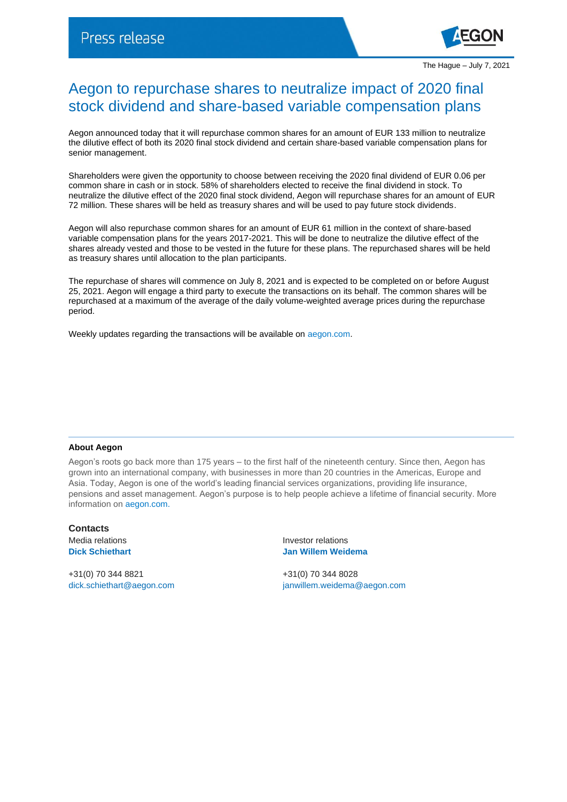

## Aegon to repurchase shares to neutralize impact of 2020 final stock dividend and share-based variable compensation plans

Aegon announced today that it will repurchase common shares for an amount of EUR 133 million to neutralize the dilutive effect of both its 2020 final stock dividend and certain share-based variable compensation plans for senior management.

Shareholders were given the opportunity to choose between receiving the 2020 final dividend of EUR 0.06 per common share in cash or in stock. 58% of shareholders elected to receive the final dividend in stock. To neutralize the dilutive effect of the 2020 final stock dividend, Aegon will repurchase shares for an amount of EUR 72 million. These shares will be held as treasury shares and will be used to pay future stock dividends.

Aegon will also repurchase common shares for an amount of EUR 61 million in the context of share-based variable compensation plans for the years 2017-2021. This will be done to neutralize the dilutive effect of the shares already vested and those to be vested in the future for these plans. The repurchased shares will be held as treasury shares until allocation to the plan participants.

The repurchase of shares will commence on July 8, 2021 and is expected to be completed on or before August 25, 2021. Aegon will engage a third party to execute the transactions on its behalf. The common shares will be repurchased at a maximum of the average of the daily volume-weighted average prices during the repurchase period.

Weekly updates regarding the transactions will be available on [aegon.com.](https://www.aegon.com/investors/shareholders/share-buyback-program/)

## **About Aegon**

Aegon's roots go back more than 175 years – to the first half of the nineteenth century. Since then, Aegon has grown into an international company, with businesses in more than 20 countries in the Americas, Europe and Asia. Today, Aegon is one of the world's leading financial services organizations, providing life insurance, pensions and asset management. Aegon's purpose is to help people achieve a lifetime of financial security. More information on [aegon.com.](http://www.aegon.com/about)

**Contacts**

+31(0) 70 344 8821 +31(0) 70 344 8028

Media relations **Investor relations Dick Schiethart Jan Willem Weidema**

[dick.schiethart@aegon.com](mailto:dick.schiethart@aegon.com) [janwillem.weidema@aegon.com](mailto:janwillem.weidema@aegon.com)